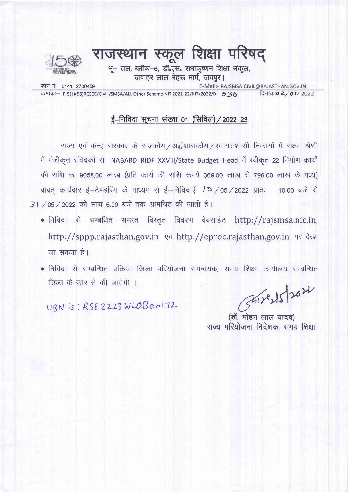

# राजस्थान स्कूल शिक्षा परिषद

भू- तल, ब्लॉक-6, डॉ.एस. राधाकृष्णन शिक्षा संकूल, जवाहर लाल नेहरू मार्ग, जयपूर।

फोन नं: 0141-2700459

E-Mail:- RAJSMSA.CIVIL@RAJASTHAN.GOV.IN

क्रमांक:- F-5(1)(58)RCSCE/Civil /SMSA/ALL Other Scheme NIT 2021-22/NIT/2022/D- 5.30

#### दिनांक: 0 2 / 05/2022

### ई-निविदा सूचना संख्या 01 (सिविल) / 2022-23

राज्य एवं केन्द्र सरकार के राजकीय /अर्द्धशासकीय / स्वायत्तशासी निकायों में सक्षम श्रेणी में पंजीकृत संवेदकों से NABARD RIDF XXVIII/State Budget Head में स्वीकृत 22 निर्माण कार्यों की राशि रू. 9058.00 लाख (प्रति कार्य की राशि रूपये 369.00 लाख से 796.00 लाख के मध्य) बाबत कार्यवार ई-टेण्डरिंग के माध्यम से ई-निविदाऐं / 05 / 2022 प्रातः 10.00 बजे से 31 / 05 / 2022 को सायं 6.00 बजे तक आमंत्रित की जाती है।

- निविदा से सम्बधित समस्त विस्तृत विवरण वेबसाईट http://rajsmsa.nic.in, http://sppp.rajasthan.gov.in एव http://eproc.rajasthan.gov.in पर देखा जा सकता है।
- निविदा से सम्बन्धित प्रक्रिया जिला परियोजना समन्वयक, समग्र शिक्षा कार्यालय सम्बन्धित जिला के स्तर से की जावेगी ।

UBN is: RSE2223WLOB00172

Shirls 202

(डॉ. मोहन लाल यादव) राज्य परियोजना निदेशक, समग्र शिक्षा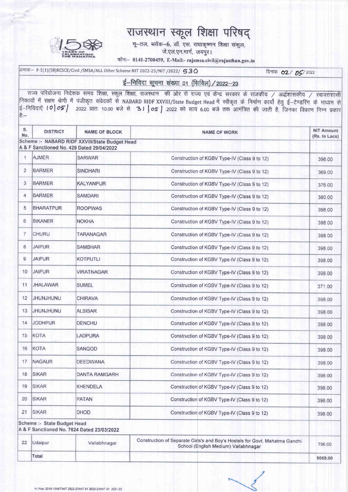

## राजस्थान स्कूल शिक्षा परिषद्

भू-तल, ब्लॉक-6, डॉ. एस. राधाकृष्णन शिक्षा संकुल, जे.एल.एन.मार्ग, जयपूर।

फोनः- 0141-2700459, E-Mail:- rajsmsa.civil@rajasthan.gov.in

क्रमांक≔ F-5(1)(58)RCSCE/Civil /SMSA/ALL Other Scheme NIT 2022-23/NIT /2022/ 530

दिनांकः 02 / 05/2022

ई-निविदा सूचना संख्या 01 (सिविल) / 2022-23

राज्य परियोजना निदेशक समग्र शिक्षा, स्कूल शिक्षा, राजस्थान) की ओर से राज्य एवं केन्द्र सरकार के राजकीय / अर्द्धशासकीय / स्वायत्तशासी निकायों में सक्षम श्रेणी में पंजीकृत संवेदकों से NABARD RIDF XXVIII/State Budget Head में स्वीकृत के निर्माण कार्यो हेतु ई-टेण्डरिंग के माध्यम से ई-निविदाएँ 10 05 / 2022 प्रातः 10.00 बजे से 31 / 05 / 2022 को सायं 6.00 बजे तक आमंत्रित की जाती है, जिनका विवरण निम्न प्रकार 승:-

| S.<br>No.      | <b>DISTRICT</b>             | <b>NAME OF BLOCK</b>                                                                        | <b>NAME OF WORK</b>                                                                                                 | <b>NIT Amount</b><br>(Rs. In Lacs) |
|----------------|-----------------------------|---------------------------------------------------------------------------------------------|---------------------------------------------------------------------------------------------------------------------|------------------------------------|
|                |                             | Scheme :- NABARD RIDF XXVIII/State Budget Head<br>A & F Sanctioned No. 429 Dated 29/04/2022 |                                                                                                                     |                                    |
| $\mathbf{1}$   | <b>AJMER</b>                | <b>SARWAR</b>                                                                               | Construction of KGBV Type-IV (Class 9 to 12)                                                                        |                                    |
| $\overline{2}$ | <b>BARMER</b>               | <b>SINDHARI</b>                                                                             | Construction of KGBV Type-IV (Class 9 to 12)                                                                        | 369.00                             |
| 3              | <b>BARMER</b>               | <b>KALYANPUR</b>                                                                            | Construction of KGBV Type-IV (Class 9 to 12)                                                                        | 376.00                             |
| 4              | <b>BARMER</b>               | <b>SAMDARI</b>                                                                              | Construction of KGBV Type-IV (Class 9 to 12)                                                                        | 380.00                             |
| 5              | <b>BHARATPUR</b>            | <b>ROOPWAS</b>                                                                              | Construction of KGBV Type-IV (Class 9 to 12)                                                                        | 398.00                             |
| 6              | <b>BIKANER</b>              | <b>NOKHA</b>                                                                                | Construction of KGBV Type-IV (Class 9 to 12)                                                                        | 398.00                             |
| 7              | <b>CHURU</b>                | TARANAGAR                                                                                   | Construction of KGBV Type-IV (Class 9 to 12)                                                                        | 398.00                             |
| 8              | <b>JAIPUR</b>               | SAMBHAR                                                                                     | Construction of KGBV Type-IV (Class 9 to 12)                                                                        | 398.00                             |
| 9              | <b>JAIPUR</b>               | <b>KOTPUTLI</b>                                                                             | Construction of KGBV Type-IV (Class 9 to 12)                                                                        | 398.00                             |
| 10             | <b>JAIPUR</b>               | <b>VIRATNAGAR</b>                                                                           | Construction of KGBV Type-IV (Class 9 to 12)                                                                        | 398.00                             |
| 11             | <b>JHALAWAR</b>             | <b>SUMEL</b>                                                                                | Construction of KGBV Type-IV (Class 9 to 12)                                                                        | 371.00                             |
| 12             | JHUNJHUNU                   | <b>CHIRAVA</b>                                                                              | Construction of KGBV Type-IV (Class 9 to 12)                                                                        | 398.00                             |
| 13             | <b>JHUNJHUNU</b>            | <b>ALSISAR</b>                                                                              | Construction of KGBV Type-IV (Class 9 to 12)                                                                        | 398.00                             |
| 14             | <b>JODHPUR</b>              | <b>DENCHU</b>                                                                               | Construction of KGBV Type-IV (Class 9 to 12)                                                                        | 398.00                             |
| 15             | KOTA                        | <b>LADPURA</b>                                                                              | Construction of KGBV Type-IV (Class 9 to 12)                                                                        |                                    |
| 16             | KOTA                        | <b>SANGOD</b>                                                                               | Construction of KGBV Type-IV (Class 9 to 12)                                                                        | 398.00                             |
| 17             | <b>NAGAUR</b>               | <b>DEEDWANA</b>                                                                             | Construction of KGBV Type-IV (Class 9 to 12)                                                                        | 398.00                             |
| 18             | <b>SIKAR</b>                | <b>DANTA RAMGARH</b>                                                                        | Construction of KGBV Type-IV (Class 9 to 12)                                                                        |                                    |
| 19             | SIKAR                       | <b>KHENDELA</b>                                                                             | Construction of KGBV Type-IV (Class 9 to 12)                                                                        |                                    |
| 20             | <b>SIKAR</b>                | <b>PATAN</b>                                                                                | Construction of KGBV Type-IV (Class 9 to 12)                                                                        |                                    |
| 21             | <b>SIKAR</b>                | DHOD                                                                                        | Construction of KGBV Type-IV (Class 9 to 12)                                                                        |                                    |
|                | Scheme :- State Budget Head | A & F Sanctioned No. 7624 Dated 23/03/2022                                                  |                                                                                                                     |                                    |
| 22             | Udaipur                     | Vallabhnagar                                                                                | Construction of Separate Girls's and Boy's Hostels for Govt. Mahatma Gandhi<br>School (English Medium) Vallabhnagar |                                    |
|                | <b>Total</b>                |                                                                                             |                                                                                                                     | 9058.00                            |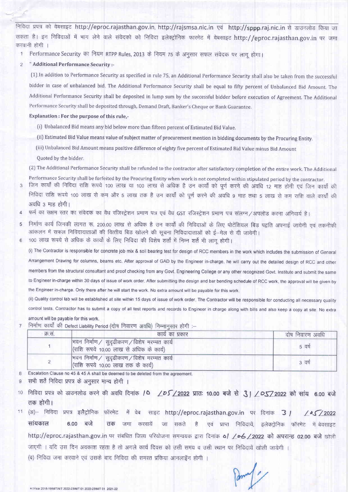निविदा प्रपत्र को वेबसाइट http://eproc.rajasthan.gov.in, http://rajsmsa.nic.in एवं http://sppp.raj.nic.in से डाउनलोड किया जा सकता है। इन निविदाओं में भाग लेने वाले संवेदको को निविदा इलेक्ट्रोनिक फारमेट में वेबसाइट http://eproc.rajasthan.gov.in पर जमा करवानी होगी ।

- Performance Security का नियम RTPP Rules, 2013 के नियम 75 के अनुसार सफल संवेदक पर लागू होगा।  $\mathbf{1}$
- " Additional Performance Security :-

(1) In addition to Performance Security as specified in rule 75, an Additional Performance Security shall also be taken from the successful bidder in case of unbalanced bid. The Additional Performance Security shall be equal to fifty percent of Unbalanced Bid Amount. The Additional Performance Security shall be deposited in lump sum by the successful bidder before execution of Agreement. The Additional Performance Security shall be deposited through, Demand Draft, Banker's Cheque or Bank Guarantee.

Explanation : For the purpose of this rule,-

- (i) Unbalanced Bid means any bid below more than fifteen percent of Estimated Bid Value.
- (ii) Estimated Bid Value means value of subject matter of procurement mention in bidding documents by the Procuring Entity.
- (iii) Unbalanced Bid Amount means positive difference of eighty five percent of Estimated Bid Value minus Bid Amount

Quoted by the bidder.

(2) The Additional Performance Security shall be refunded to the contractor after satisfactory completion of the entire work. The Additional

Performance Security shall be forfeited by the Procuring Entity when work is not completed within stipulated period by the contractor. जिन कार्यों की निविदा राशि रूपये 100 लाख या 100 लाख से अधिक है उन कार्यों को पूर्ण करने की अवधि 12 माह होगी एवं जिन कार्यों की 3 निविदा राशि रूपये 100 लाख से कम और 5 लाख तक है उन कार्यों को पूर्ण करने की अवधि 9 माह तथा 5 लाख से कम राशि वाले कार्यों की अवधि 3 माह होगी।

- फर्म का सक्षम स्तर का संवेदक का वैध रजिस्ट्रेशन प्रमाण पत्र एवं वैध GST रजिस्ट्रेशन प्रमाण पत्र संलग्न /अपलोड करना अनिवार्य है।  $\overline{4}$
- निर्माण कार्य जिनकी लागत रू. 200.00 लाख से अधिक है उन कार्यों की निविदाओं के लिए पोटेंशियल बिड पद्वति अपनाई जायेगी एवं तकनीकी 5 आंकलन में सफल निविदादाताओं की वित्तीय बिड खोलने की सूचना निविदादाताओं को ई-मेल से दी जावेगी।
- 100 लाख रूपये से अधिक के कार्यो के लिए निविदा की विशेष शर्तो में निम्न शर्ते भी लाग होगी।  $6$

(i) The Contractor is responsible for concrete job mix & soil bearing test for design of RCC members in the work which includes the submission of General Arrangement Drawing for columns, beams etc. After approval of GAD by the Engineer in-charge, he will carry out the detailed design of RCC and other members from the structural consultant and proof checking from any Govt. Engineering College or any other recognized Govt. Institute and submit the same to Engineer in-charge within 30 days of issue of work order. After submitting the design and bar bending schedule of RCC work, the approval will be given by the Engineer in-charge. Only there after he will start the work. No extra amount will be payable for this work.

(ii) Quality control lab will be established at site within 15 days of issue of work order. The Contractor will be responsible for conducting all necessary quality control tests. Contractor has to submit a copy of all test reports and records to Engineer in charge along with bills and also keep a copy at site. No extra amount will be payable for this work.

निर्माण कार्यों की Defect Liability Period (दोष निवारण अवधि) निम्नानसार होगी :—  $\overline{7}$ 

| क्र.स. | कार्य का प्रकार                                                                         | दोष निवारण अवधि |
|--------|-----------------------------------------------------------------------------------------|-----------------|
|        | भवन निर्माण / सुदृढीकरण / विशेष मरम्मत कार्य<br>(राशि रूपये 10.00 लाख से अधिक के कार्य) | 5 वर्ष          |
|        | भवन निर्माण / सुदृढीकरण / विशेष मरम्मत कार्य<br>(राशि रूपये 10.00 लाख तक के कार्य)      | 3 वर्ष          |

Escalation Clause no 45 & 45 A shall be deemed to be deleted from the agreement. 8

- सभी शर्ते निविदा प्रपत्र के अनुसार मान्य होगी । 9
- निविदा प्रपत्र को डाउनलोड करने की अवधि दिनांक / 4 / 205/2022 प्रातः 10.00 बजे से 3 | / 0572022 को सांय 6.00 बजे  $10$ तक होगी।
- $11$ (अ)- निविदा प्रपत्र इलैट्रोनिक फॉरमेट में वेब साइट http://eproc.rajasthan.gov.in पर दिनांक 3 /  $105/2022$ सांयकाल  $6.00$  बजे जमा करवायें जा सकते तक है एवं प्राप्त निविदायें, इलेक्ट्रोनिक फॉरमेट में बेवसाइट http://eproc.rajasthan.gov.in पर संबधित जिला परियोजना समन्वयक द्वारा दिनांक 6/ / 06 / 2022 को अपरान्ह 02.00 बजे खोली जाएगी । यदि उस दिन अवकाश रहता है तो अगले कार्य दिवस को उसी समय व उसी स्थान पर निविदायें खोली जायेगी । (ब) निविदा जमा करवाने एवं उसके बाद निविदा की समस्त प्रकिया आनलाइँन होगी ।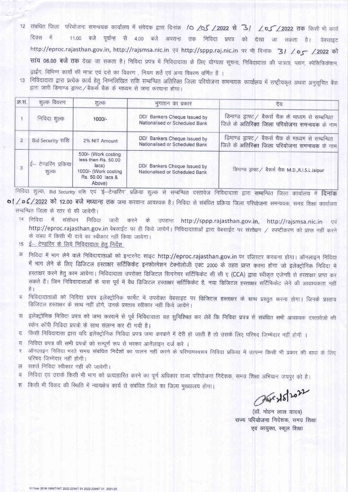- संबंधित जिला परियोजना समन्वयक कार्यालय में संवेदक द्वारा दिनांक /O /OS /2022 से 3/ /0S /2022 तक किसी भी कार्य  $12$ दिवस में 11.00 बजे पूर्वान्ह से 4.00 बजे अपरान्ह तक निविदा प्रपत्र को देखा जा सकता है। वेबसाइट http://eproc.rajasthan.gov.in, http://rajsmsa.nic.in एवं http://sppp.raj.nic.in पर भी दिनांक 31 / 05 /2022 को सांय 06.00 बजे तक देखा जा सकता है। निविदा प्रपत्र में निविदादाता के लिए योग्यता सूचना, निविदादाता की पात्रता, प्लान, स्पेसिफिकेशन, ड़ाईंग, विभिन्न कार्यो की मात्रा एवं दरो का विवरण , नियम शर्ते एवं अन्य विवरण वर्णित हैं ।
- 13) निविदादाता द्वारा प्रत्येक कार्य हेतू निम्नलिखित राशि सम्बन्धित अतिरिक्त जिला परियोजना समन्वयक कार्यालय में राष्ट्रीयकृत अथवा अनुसूचित बैंक द्वारा जारी डिमाण्ड ड्राफ्ट / बैकर्स चैक के माध्यम से जमा करवाना होगा।

| क्र.सं.        | शुल्क विवरण                                                       | शुल्क                                                                                                     | भूगतान का प्रकार                                               | देय                                                                                                  |
|----------------|-------------------------------------------------------------------|-----------------------------------------------------------------------------------------------------------|----------------------------------------------------------------|------------------------------------------------------------------------------------------------------|
|                | निविदा शुल्क                                                      | $1000/-$                                                                                                  | DD/ Bankers Cheque Issued by<br>Nationalised or Scheduled Bank | डिमाण्ड ड्राफ्ट / बैकर्स चैक के माध्यम से सम्बन्धित<br>जिले के अतिरिक्त जिला परियोजना समन्वयक के नाम |
| $\overline{2}$ | Bid Security राशि                                                 | 2% NIT Amount                                                                                             | DD/ Bankers Cheque Issued by<br>Nationalised or Scheduled Bank | डिमाण्ड ड्राफ्ट / बैकर्स चैक के माध्यम से सम्बन्धित<br>जिले के अतिरिक्त जिला परियोजना समन्वयक के नाम |
| $\Omega$       | $\left \frac{1}{5}-\frac{1}{2}\right $ रेण्डरिंग प्रकिया<br>शुल्क | 500/- (Work costing<br>less then Rs. 50.00<br>lacs)<br>1000/- (Work costing<br>Rs. 50.00 lacs &<br>Above) | DD/ Bankers Cheque Issued by<br>Nationalised or Scheduled Bank | डिमाण्ड ड्राफ्ट / बैकर्स चैक M.D.,R.I.S.L Jaipur                                                     |

निविदा शुल्क, Bid Security राशि एवं 'ई–टेन्डरिंग' प्रक्रिया शुल्क से सम्बन्धित दस्तावेज निविदादाता द्वारा सम्बन्धित जिला कार्यालय में **दिनांक** of / p 6/2022 को 12.00 बजे मध्यान्ह तक जमा करवाना आवश्यक है। निविदा से संबंधित प्रक्रिया जिला परियोजना समन्वयक, समग्र शिक्षा कार्यालय सम्बन्धित जिला के स्तर से की जावेगी।

- 14 निविदा में संशोधन निविदा जारी करने के उपरान्त http://sppp.rajasthan.gov.in, http://rajsmsa.nic.in एवं http://eproc.rajasthan.gov.in वेबसाईट पर ही किये जायेगें। निविदादाताओं द्वारा वेबसाईट पर संशोधन / स्पष्टीकरण को प्राप्त नहीं करने के संबध में किसी भी दावे का स्वीकार नहीं किया जायेगा।
- 15 ई– टेण्डरिंग के लिये निविदादाता हेतु निर्देश
- अ निविदा में भाग लेने वाले निविदादाताओं को इन्टरनेट साइट http://eproc.rajasthan.gov.in पर रजिस्टर करवाना होगा। ऑनलाइन निविदा में भाग लेने के लिए डिजिटल हस्ताक्षर सर्टिफिकेट इनफोरमेशन टेक्नोलोजी एक्ट 2000 के तहत प्राप्त करना होगा जो इलेक्ट्रोनिक निविदा में हस्ताक्षर करने हेतु काम आयेगा। निविदादाता उपरोक्त डिजिटल सिगनेचर सर्टिफिकेट सी सी ए (CCA) द्वारा स्वीकृत एजेन्सी से हस्ताक्षर प्राप्त कर सकते हैं। जिन निविदादाताओं के पास पूर्व में वैध डिजिटल हस्ताक्षर सर्टिफिकेट है, नया डिजिटल हस्ताक्षर सर्टिफिकेट लेने की आवश्यकता नहीं है।
- निविदादाताओं को निविदा प्रपत्र इलेक्ट्रोनिक फार्मेट में उपरोक्त वेबसाइट पर डिजिटल हस्ताक्षर के साथ प्रस्तुत करना होगा। जिनके प्रस्ताव  $\overline{d}$ डिजिटल हस्ताक्षर के साथ नहीं होगे, उनके प्रस्ताव स्वीकार नहीं किये जायेंगे।
- स इलेक्ट्रोनिक निविदा प्रपत्र को जमा करवाने से पूर्व निविदादाता यह सुनिश्चित कर लेवें कि निविदा प्रपत्र से संबंधित सभी आवश्यक दस्तावेजो की स्केन कॉपी निविदा प्रपत्रों के साथ संलग्न कर दी गयी है।
- किसी निविदादाता द्वारा यदि इलेक्ट्रोनिक निविदा प्रपत्र जमा करवाने में देरी हो जाती है तो उसके लिए परिषद जिम्मेदार नहीं होगी । ਟ
- निविदा प्रपत्र की सभी प्रपत्रों को सम्पूर्ण रूप से भरकर आनॅलाइन दर्ज करे । ਹ
- ऑनलाइन निविदा भरते समय संबधित निर्देशों का पालन नहीं करने के परिणामस्वरूप निविदा प्रकिया में उत्पन्न किसी भी प्रकार की बाधा के लिए  $\overline{\mathbf{v}}$ परिषद जिम्मेदार नहीं होगी।
- सशर्त निविदा स्वीकार नहीं की जावेगी।  $\overline{M}$
- निविदा एवं उसके किसी भी भाग को प्रत्याहारित करने का पूर्ण अधिकार राज्य परियोजना निदेशक, समग्र शिक्षा अभियान जयपुर को है।  $\overline{d}$
- किसी भी विवाद की स्थिति में न्यायक्षेत्र कार्य से संबंधित जिले का जिला मुख्यालय होगा। श

The 15/2022

(डॉ. मोहन लाल यादव) राज्य परियोजना निदेशक, समग्र शिक्षा एवं आयुक्त, स्कूल शिक्षा